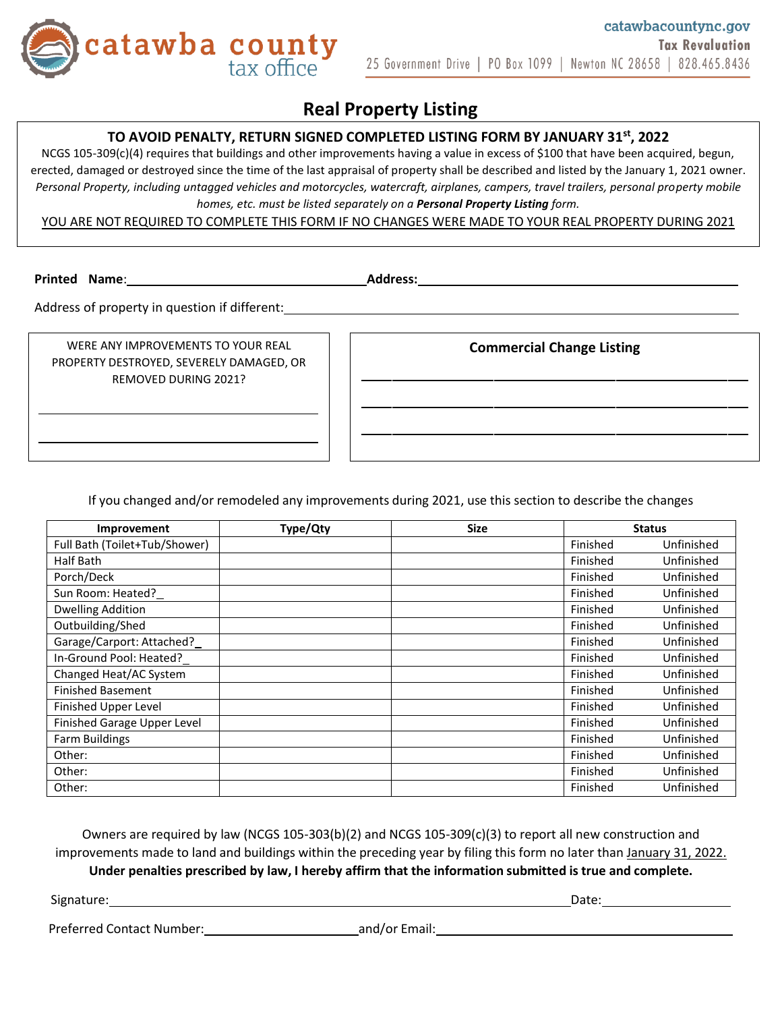

# **Real Property Listing**

## **TO AVOID PENALTY, RETURN SIGNED COMPLETED LISTING FORM BY JANUARY 31st , 2022**

NCGS 105-309(c)(4) requires that buildings and other improvements having a value in excess of \$100 that have been acquired, begun, erected, damaged or destroyed since the time of the last appraisal of property shall be described and listed by the January 1, 2021 owner. *Personal Property, including untagged vehicles and motorcycles, watercraft, airplanes, campers, travel trailers, personal property mobile homes, etc. must be listed separately on a Personal Property Listing form.*

YOU ARE NOT REQUIRED TO COMPLETE THIS FORM IF NO CHANGES WERE MADE TO YOUR REAL PROPERTY DURING 2021

**Printed Name**: **Address:**

Address of property in question if different:<br>
<u>Address of property in question if different:</u>

WERE ANY IMPROVEMENTS TO YOUR REAL PROPERTY DESTROYED, SEVERELY DAMAGED, OR REMOVED DURING 2021?

**Commercial Change Listing**

If you changed and/or remodeled any improvements during 2021, use this section to describe the changes

| Improvement                   | Type/Qty | <b>Size</b> | <b>Status</b> |            |
|-------------------------------|----------|-------------|---------------|------------|
| Full Bath (Toilet+Tub/Shower) |          |             | Finished      | Unfinished |
| Half Bath                     |          |             | Finished      | Unfinished |
| Porch/Deck                    |          |             | Finished      | Unfinished |
| Sun Room: Heated?             |          |             | Finished      | Unfinished |
| <b>Dwelling Addition</b>      |          |             | Finished      | Unfinished |
| Outbuilding/Shed              |          |             | Finished      | Unfinished |
| Garage/Carport: Attached?     |          |             | Finished      | Unfinished |
| In-Ground Pool: Heated?       |          |             | Finished      | Unfinished |
| Changed Heat/AC System        |          |             | Finished      | Unfinished |
| <b>Finished Basement</b>      |          |             | Finished      | Unfinished |
| Finished Upper Level          |          |             | Finished      | Unfinished |
| Finished Garage Upper Level   |          |             | Finished      | Unfinished |
| <b>Farm Buildings</b>         |          |             | Finished      | Unfinished |
| Other:                        |          |             | Finished      | Unfinished |
| Other:                        |          |             | Finished      | Unfinished |
| Other:                        |          |             | Finished      | Unfinished |

Owners are required by law (NCGS 105-303(b)(2) and NCGS 105-309(c)(3) to report all new construction and improvements made to land and buildings within the preceding year by filing this form no later than January 31, 2022.

**Under penalties prescribed by law, I hereby affirm that the information submitted is true and complete.**

Signature: Date: Date: Date: Date: Date: Date: Date: Date: Date: Date: Date: Date: Date: Date: Date: Date: Date: Date: Date: Date: Date: Date: Date: Date: Date: Date: Date: Date: Date: Date: Date: Date: Date: Date: Date: D

Preferred Contact Number: and/or Email: